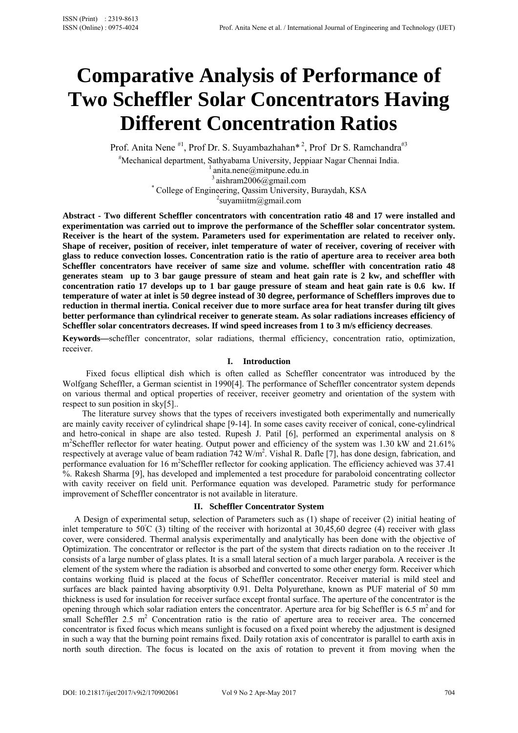# **Comparative Analysis of Performance of Two Scheffler Solar Concentrators Having Different Concentration Ratios**

Prof. Anita Nene  $*^1$ , Prof Dr. S. Suyambazhahan $*^2$ , Prof Dr S. Ramchandra<sup>#3</sup>

# Mechanical department, Sathyabama University, Jeppiaar Nagar Chennai India. 1 anita.nene@mitpune.edu.in

3 aishram2006@gmail.com *\**

College of Engineering, Qassim University, Buraydah, KSA 2

<sup>2</sup>suyamiitm@gmail.com

**Abstract - Two different Scheffler concentrators with concentration ratio 48 and 17 were installed and experimentation was carried out to improve the performance of the Scheffler solar concentrator system. Receiver is the heart of the system. Parameters used for experimentation are related to receiver only. Shape of receiver, position of receiver, inlet temperature of water of receiver, covering of receiver with glass to reduce convection losses. Concentration ratio is the ratio of aperture area to receiver area both Scheffler concentrators have receiver of same size and volume. scheffler with concentration ratio 48 generates steam up to 3 bar gauge pressure of steam and heat gain rate is 2 kw, and scheffler with concentration ratio 17 develops up to 1 bar gauge pressure of steam and heat gain rate is 0.6 kw. If temperature of water at inlet is 50 degree instead of 30 degree, performance of Schefflers improves due to reduction in thermal inertia. Conical receiver due to more surface area for heat transfer during tilt gives better performance than cylindrical receiver to generate steam. As solar radiations increases efficiency of Scheffler solar concentrators decreases. If wind speed increases from 1 to 3 m/s efficiency decreases**.

**Keywords—**scheffler concentrator, solar radiations, thermal efficiency, concentration ratio, optimization, receiver.

# **I. Introduction**

Fixed focus elliptical dish which is often called as Scheffler concentrator was introduced by the Wolfgang Scheffler, a German scientist in 1990[4]. The performance of Scheffler concentrator system depends on various thermal and optical properties of receiver, receiver geometry and orientation of the system with respect to sun position in sky[5]..

The literature survey shows that the types of receivers investigated both experimentally and numerically are mainly cavity receiver of cylindrical shape [9-14]. In some cases cavity receiver of conical, cone-cylindrical and hetro-conical in shape are also tested. Rupesh J. Patil [6], performed an experimental analysis on 8 m<sup>2</sup>Scheffler reflector for water heating. Output power and efficiency of the system was 1.30 kW and 21.61% respectively at average value of beam radiation  $742 \text{ W/m}^2$ . Vishal R. Dafle [7], has done design, fabrication, and performance evaluation for 16 m<sup>2</sup>Scheffler reflector for cooking application. The efficiency achieved was 37.41 %. Rakesh Sharma [9], has developed and implemented a test procedure for paraboloid concentrating collector with cavity receiver on field unit. Performance equation was developed. Parametric study for performance improvement of Scheffler concentrator is not available in literature.

## **II. Scheffler Concentrator System**

A Design of experimental setup, selection of Parameters such as (1) shape of receiver (2) initial heating of inlet temperature to  $50^{\circ}$ C (3) tilting of the receiver with horizontal at  $30,45,60$  degree (4) receiver with glass cover, were considered. Thermal analysis experimentally and analytically has been done with the objective of Optimization. The concentrator or reflector is the part of the system that directs radiation on to the receiver .It consists of a large number of glass plates. It is a small lateral section of a much larger parabola. A receiver is the element of the system where the radiation is absorbed and converted to some other energy form. Receiver which contains working fluid is placed at the focus of Scheffler concentrator. Receiver material is mild steel and surfaces are black painted having absorptivity 0.91. Delta Polyurethane, known as PUF material of 50 mm thickness is used for insulation for receiver surface except frontal surface. The aperture of the concentrator is the opening through which solar radiation enters the concentrator. Aperture area for big Scheffler is  $6.5 \text{ m}^2$  and for small Scheffler 2.5 m<sup>2</sup> Concentration ratio is the ratio of aperture area to receiver area. The concerned concentrator is fixed focus which means sunlight is focused on a fixed point whereby the adjustment is designed in such a way that the burning point remains fixed. Daily rotation axis of concentrator is parallel to earth axis in north south direction. The focus is located on the axis of rotation to prevent it from moving when the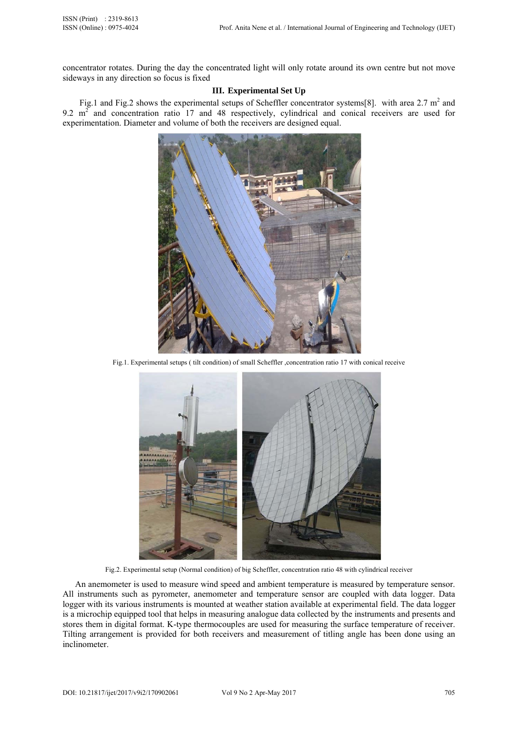concentrator rotates. During the day the concentrated light will only rotate around its own centre but not move sideways in any direction so focus is fixed

# **III. Experimental Set Up**

Fig.1 and Fig.2 shows the experimental setups of Scheffler concentrator systems[8]. with area 2.7  $m^2$  and 9.2  $m<sup>2</sup>$  and concentration ratio 17 and 48 respectively, cylindrical and conical receivers are used for experimentation. Diameter and volume of both the receivers are designed equal.



Fig.1. Experimental setups ( tilt condition) of small Scheffler ,concentration ratio 17 with conical receive



Fig.2. Experimental setup (Normal condition) of big Scheffler, concentration ratio 48 with cylindrical receiver

An anemometer is used to measure wind speed and ambient temperature is measured by temperature sensor. All instruments such as pyrometer, anemometer and temperature sensor are coupled with data logger. Data logger with its various instruments is mounted at weather station available at experimental field. The data logger is a microchip equipped tool that helps in measuring analogue data collected by the instruments and presents and stores them in digital format. K-type thermocouples are used for measuring the surface temperature of receiver. Tilting arrangement is provided for both receivers and measurement of titling angle has been done using an inclinometer.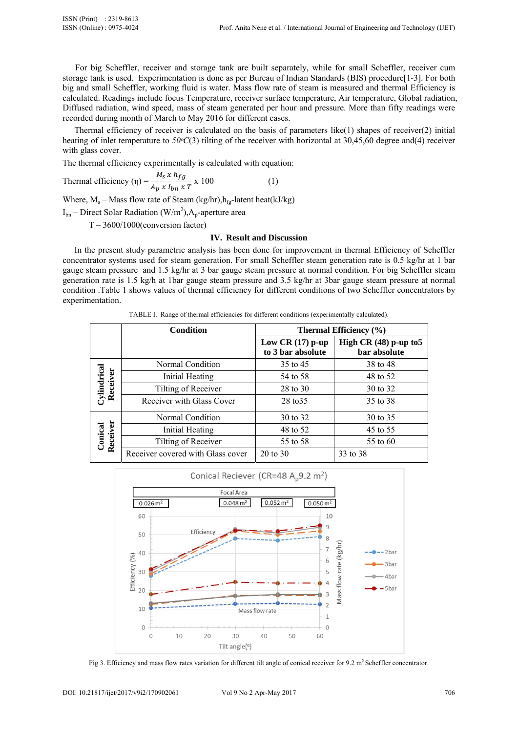For big Scheffler, receiver and storage tank are built separately, while for small Scheffler, receiver cum storage tank is used. Experimentation is done as per Bureau of Indian Standards (BIS) procedure[1-3]. For both big and small Scheffler, working fluid is water. Mass flow rate of steam is measured and thermal Efficiency is calculated. Readings include focus Temperature, receiver surface temperature, Air temperature, Global radiation, Diffused radiation, wind speed, mass of steam generated per hour and pressure. More than fifty readings were recorded during month of March to May 2016 for different cases.

Thermal efficiency of receiver is calculated on the basis of parameters like(1) shapes of receiver(2) initial heating of inlet temperature to  $50\textdegree C(3)$  tilting of the receiver with horizontal at 30,45,60 degree and(4) receiver with glass cover.

The thermal efficiency experimentally is calculated with equation:

Thermal efficiency 
$$
(\eta) = \frac{M_S \times h_{fg}}{A_p \times I_{bn} \times T} \times 100
$$
 (1)

Where,  $M_s$  – Mass flow rate of Steam (kg/hr),  $h_{fg}$ -latent heat(kJ/kg)

 $I_{bn}$  – Direct Solar Radiation (W/m<sup>2</sup>), A<sub>p</sub>-aperture area

 $T - 3600/1000$ (conversion factor)

### **IV. Result and Discussion**

In the present study parametric analysis has been done for improvement in thermal Efficiency of Scheffler concentrator systems used for steam generation. For small Scheffler steam generation rate is 0.5 kg/hr at 1 bar gauge steam pressure and 1.5 kg/hr at 3 bar gauge steam pressure at normal condition. For big Scheffler steam generation rate is 1.5 kg/h at 1bar gauge steam pressure and 3.5 kg/hr at 3bar gauge steam pressure at normal condition .Table 1 shows values of thermal efficiency for different conditions of two Scheffler concentrators by experimentation.

TABLE I. Range of thermal efficiencies for different conditions (experimentally calculated).

|                         | <b>Condition</b>                  | Thermal Efficiency (%)                  |                                          |
|-------------------------|-----------------------------------|-----------------------------------------|------------------------------------------|
|                         |                                   | Low CR $(17)$ p-up<br>to 3 bar absolute | High CR $(48)$ p-up to 5<br>bar absolute |
| Cylindrical<br>Receiver | Normal Condition                  | 35 to 45                                | 38 to 48                                 |
|                         | Initial Heating                   | 54 to 58                                | 48 to 52                                 |
|                         | Tilting of Receiver               | 28 to 30                                | 30 to 32                                 |
|                         | Receiver with Glass Cover         | 28 to 35                                | 35 to 38                                 |
| Receiver<br>Conical     | Normal Condition                  | 30 to 32                                | 30 to 35                                 |
|                         | Initial Heating                   | 48 to 52                                | 45 to 55                                 |
|                         | Tilting of Receiver               | 55 to 58                                | 55 to 60                                 |
|                         | Receiver covered with Glass cover | 20 to 30                                | 33 to 38                                 |



Fig 3. Efficiency and mass flow rates variation for different tilt angle of conical receiver for 9.2 m<sup>2</sup> Scheffler concentrator.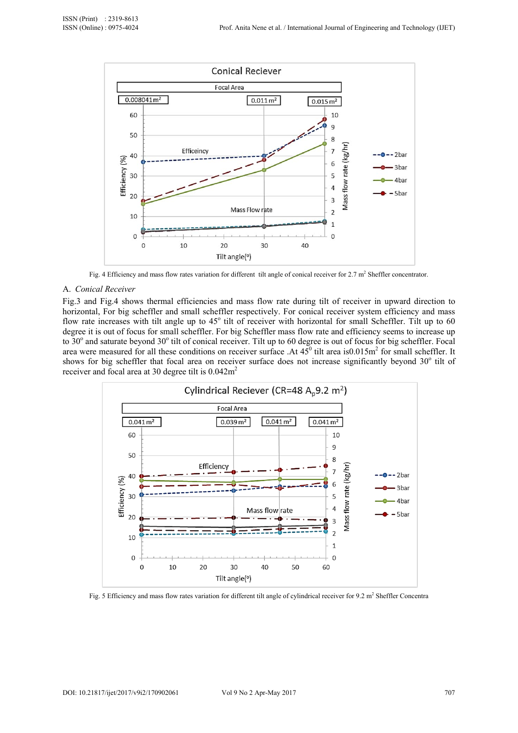

Fig. 4 Efficiency and mass flow rates variation for different tilt angle of conical receiver for  $2.7 \text{ m}^2$  Sheffler concentrator.

# A. *Conical Receiver*

Fig.3 and Fig.4 shows thermal efficiencies and mass flow rate during tilt of receiver in upward direction to horizontal, For big scheffler and small scheffler respectively. For conical receiver system efficiency and mass flow rate increases with tilt angle up to 45° tilt of receiver with horizontal for small Scheffler. Tilt up to 60 degree it is out of focus for small scheffler. For big Scheffler mass flow rate and efficiency seems to increase up to  $30^{\circ}$  and saturate beyond  $30^{\circ}$  tilt of conical receiver. Tilt up to 60 degree is out of focus for big scheffler. Focal area were measured for all these conditions on receiver surface .At  $45^{\circ}$  tilt area is 0.015m<sup>2</sup> for small scheffler. It shows for big scheffler that focal area on receiver surface does not increase significantly beyond 30° tilt of receiver and focal area at 30 degree tilt is  $0.042 \text{m}^2$ 



Fig. 5 Efficiency and mass flow rates variation for different tilt angle of cylindrical receiver for 9.2 m<sup>2</sup> Sheffler Concentra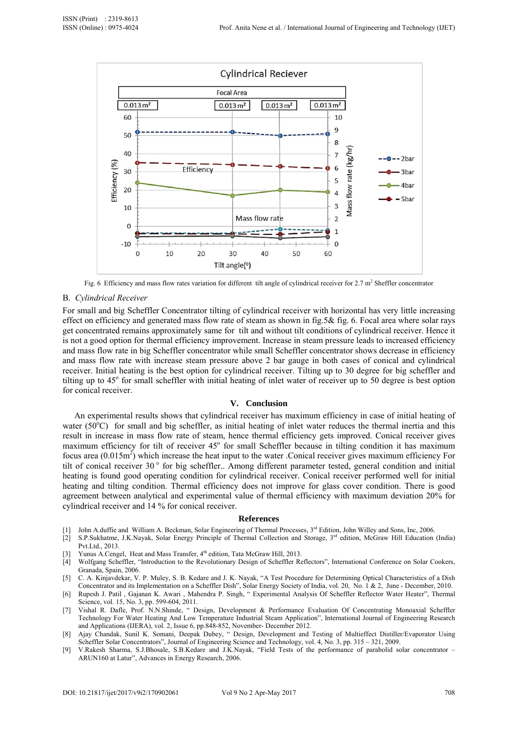

Fig. 6 Efficiency and mass flow rates variation for different tilt angle of cylindrical receiver for  $2.7 \text{ m}^2$  Sheffler concentrator

### B. *Cylindrical Receiver*

For small and big Scheffler Concentrator tilting of cylindrical receiver with horizontal has very little increasing effect on efficiency and generated mass flow rate of steam as shown in fig.5& fig. 6. Focal area where solar rays get concentrated remains approximately same for tilt and without tilt conditions of cylindrical receiver. Hence it is not a good option for thermal efficiency improvement. Increase in steam pressure leads to increased efficiency and mass flow rate in big Scheffler concentrator while small Scheffler concentrator shows decrease in efficiency and mass flow rate with increase steam pressure above 2 bar gauge in both cases of conical and cylindrical receiver. Initial heating is the best option for cylindrical receiver. Tilting up to 30 degree for big scheffler and tilting up to 45° for small scheffler with initial heating of inlet water of receiver up to 50 degree is best option for conical receiver.

## **V. Conclusion**

An experimental results shows that cylindrical receiver has maximum efficiency in case of initial heating of water ( $50^{\circ}$ C) for small and big scheffler, as initial heating of inlet water reduces the thermal inertia and this result in increase in mass flow rate of steam, hence thermal efficiency gets improved. Conical receiver gives maximum efficiency for tilt of receiver 45° for small Scheffler because in tilting condition it has maximum focus area  $(0.015m^2)$  which increase the heat input to the water .Conical receiver gives maximum efficiency For tilt of conical receiver 30° for big scheffler.. Among different parameter tested, general condition and initial heating is found good operating condition for cylindrical receiver. Conical receiver performed well for initial heating and tilting condition. Thermal efficiency does not improve for glass cover condition. There is good agreement between analytical and experimental value of thermal efficiency with maximum deviation 20% for cylindrical receiver and 14 % for conical receiver.

#### **References**

- [1] John A.duffie and William A. Beckman, Solar Engineering of Thermal Processes, 3<sup>rd</sup> Edition, John Willey and Sons, Inc, 2006.
- [2] S.P.Sukhatme, J.K.Nayak, Solar Energy Principle of Thermal Collection and Storage, 3rd edition, McGraw Hill Education (India) Pvt.Ltd., 2013.
- [3] Yunus A.Cengel, Heat and Mass Transfer,  $4<sup>th</sup>$  edition, Tata McGraw Hill, 2013.
- [4] Wolfgang Scheffler, "Introduction to the Revolutionary Design of Scheffler Reflectors", International Conference on Solar Cookers, Granada, Spain, 2006.
- [5] C. A. Kinjavdekar, V. P. Muley, S. B. Kedare and J. K. Nayak, "A Test Procedure for Determining Optical Characteristics of a Dish Concentrator and its Implementation on a Scheffler Dish", Solar Energy Society of India, vol. 20, No. 1 & 2, June - December, 2010.
- [6] Rupesh J. Patil , Gajanan K. Awari , Mahendra P. Singh, " Experimental Analysis Of Scheffler Reflector Water Heater", Thermal Science, vol. 15, No. 3, pp. 599-604, 2011.
- [7] Vishal R. Dafle, Prof. N.N.Shinde, " Design, Development & Performance Evaluation Of Concentrating Monoaxial Scheffler Technology For Water Heating And Low Temperature Industrial Steam Application", International Journal of Engineering Research and Applications (IJERA), vol. 2, Issue 6, pp.848-852, November- December 2012.
- [8] Ajay Chandak, Sunil K. Somani, Deepak Dubey, " Design, Development and Testing of Multieffect Distiller/Evaporator Using Scheffler Solar Concentrators", Journal of Engineering Science and Technology, vol. 4, No. 3, pp. 315 – 321, 2009.
- [9] V.Rakesh Sharma, S.J.Bhosale, S.B.Kedare and J.K.Nayak, "Field Tests of the performance of parabolid solar concentrator ARUN160 at Latur", Advances in Energy Research, 2006.